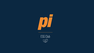

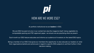### HOW ARE WE MORE ESG?

 $|D|$ 

At portfolio institutional we are **leaders** in ESG.

We are ESG focused not only in our content but also the magazine itself. Using vegetable ink, compostable packing and FSC approved paper, we ensure we are practising what we preach.

Each month our ESG feature educates and informs our audience of investors on the latest ESG topics.

Being a member of our ESG Club gives our members the opportunity to also educate our readers on what their organisations beliefs and actions are in regard to specific ESG subjects to aid them further in their decision making.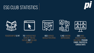### ESG CLUB STATISTICS













READERSHIP OF 6,147 712 AVERAGE PAGE

VIEWS OF THE ESG FEATURE 207 ESG HUB CONTENT

663 AVERAGE NEWSLETTER OPENS **1,143 LINKEDIN** IMPRESSIONS

**200 EVENT** REGISTRATIONS INCLUDING PENSION FUNDS, TRUSTEES & **CONSULTANTS**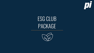

## ESG CLUB PACKAGE

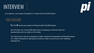### INTERVIEW

As a sponsor, your quotes will appear in 3 issues within the ESG feature.

#### ESG FEATURE:

- **3** of the 8 issues your quotes will feature within the ESG feature
- We will inform you of each ESG topic prior to arranging an interview with your representative and our editor on the matter
- The interview can also be conducted via video conference if requested and therefore allows an in depth discussion to take place as well as a video to use for your own marketing purposes too

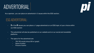### ADVERTORIAL

 $|0|$ 

As a sponsor, you can place an advertorial in 3 issues within the ESG section.

#### ESG ADVERTORIAL:

- **3** of the 8 issues you can place a 1-page advertorial on an ESG topic of your choice within our ESG section
- This advertorial will also be published on our website and on our social and newsletter platforms
- The specs for the advertorial are:
	- 700-750 words (minus 200 w/ graph)
	- Name of author
	- Picture of author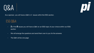



As a sponsor, you will have a Q&A in 2 issues within the ESG section.

#### ESG Q&A:

- **2** of the **8** issues you will have a Q&A on an ESG topic of your choice within our ESG section
- We will arrange the questions and send them over to you for the answers
- The Q&A will be one page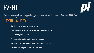# EVENT



As a sponsor, you will have the opportunity for your experts to speak on a panel at our annual ESG Club conference taking place on the  $6<sup>th</sup>$  July 2022.

#### EVENT INCLUDES:

- Speaking slot on a panel of your choice
- Logo presence on all pre and post event marketing campaign
- Full branding at the event
- Full registration and attendee list after the event
- Possible goody bag items to be included in our pi grow bag
- One advert in the post event write up pi issue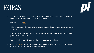## EXTRAS



- You can send us all your ESG related whitepapers, videos, articles etc. that you would like us to post on our dedicated ESG hub on our website
- See our ESG Hub here
- All ESG hub content, features, advertorials and Q&A's will be promoted in a full marketing campaign
- This includes featuring on our social media and newsletter platforms as well as all content published on our website
- You will receive a marketing report following the campaign each month
- A company profile will also be featured on the ESG Hub with your logo, including all the details and key facts about your company and ESG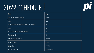# 2022 SCHEDULE



| <b>Topic</b>                                                     | <b>Issue</b>     |
|------------------------------------------------------------------|------------------|
| COP26: What it means for investors                               | February         |
| Water                                                            | March            |
| The great transition: it's not just about reducing GHG emissions | April            |
| Waste                                                            | May              |
| Environmental risk and emerging markets                          | June             |
| Sustainable debt                                                 | July             |
| What next for the S in ESG?                                      | September        |
| Impact investing                                                 | October          |
| Supply chains                                                    | November         |
| ESG trends in 2023                                               | December/January |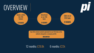# **OVERVIEW**



Any ESG related content uploaded to our ESG hub on the website alongside a company profile

**UNLIMITED** 

12 months: £28.8k 6 months: £22k